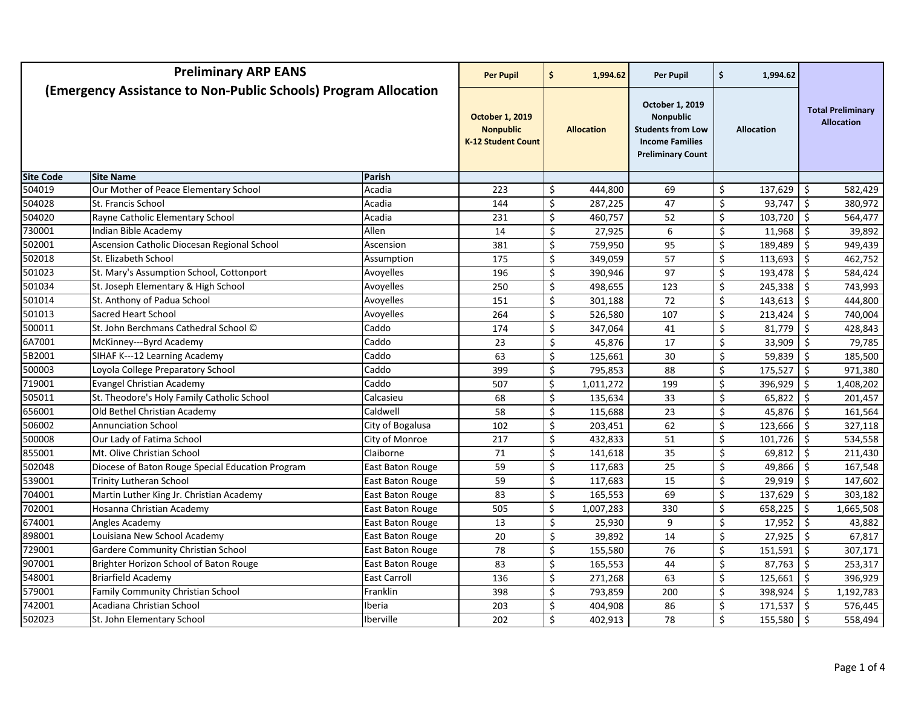| <b>Preliminary ARP EANS</b>                                     |                                                  | <b>Per Pupil</b>                                                        | \$               | 1,994.62                | Per Pupil                                                                                                             | \$<br>1,994.62  |                         |                                               |                     |           |
|-----------------------------------------------------------------|--------------------------------------------------|-------------------------------------------------------------------------|------------------|-------------------------|-----------------------------------------------------------------------------------------------------------------------|-----------------|-------------------------|-----------------------------------------------|---------------------|-----------|
| (Emergency Assistance to Non-Public Schools) Program Allocation |                                                  | <b>October 1, 2019</b><br><b>Nonpublic</b><br><b>K-12 Student Count</b> |                  | <b>Allocation</b>       | October 1, 2019<br><b>Nonpublic</b><br><b>Students from Low</b><br><b>Income Families</b><br><b>Preliminary Count</b> |                 | <b>Allocation</b>       | <b>Total Preliminary</b><br><b>Allocation</b> |                     |           |
| <b>Site Code</b>                                                | <b>Site Name</b>                                 | Parish                                                                  |                  |                         |                                                                                                                       |                 |                         |                                               |                     |           |
| 504019                                                          | Our Mother of Peace Elementary School            | Acadia                                                                  | 223              | \$                      | 444,800                                                                                                               | 69              | $\zeta$                 | 137,629                                       | - \$                | 582,429   |
| 504028                                                          | St. Francis School                               | Acadia                                                                  | 144              | \$                      | 287,225                                                                                                               | 47              | \$                      | 93,747                                        | Ŝ.                  | 380,972   |
| 504020                                                          | Rayne Catholic Elementary School                 | Acadia                                                                  | 231              | $\overline{\mathsf{S}}$ | 460,757                                                                                                               | 52              | $\overline{\mathsf{S}}$ | 103,720                                       | \$                  | 564,477   |
| 730001                                                          | Indian Bible Academy                             | Allen                                                                   | 14               | \$                      | 27,925                                                                                                                | 6               | \$                      | 11,968                                        | Ŝ.                  | 39,892    |
| 502001                                                          | Ascension Catholic Diocesan Regional School      | Ascension                                                               | 381              | Ś.                      | 759,950                                                                                                               | 95              | \$                      | 189,489                                       | Ŝ.                  | 949,439   |
| 502018                                                          | St. Elizabeth School                             | Assumption                                                              | 175              | \$                      | 349,059                                                                                                               | 57              | \$                      | 113,693                                       | \$                  | 462,752   |
| 501023                                                          | St. Mary's Assumption School, Cottonport         | Avoyelles                                                               | 196              | \$                      | 390,946                                                                                                               | $\overline{97}$ | \$                      | 193,478                                       | Ŝ.                  | 584,424   |
| 501034                                                          | St. Joseph Elementary & High School              | Avoyelles                                                               | 250              | Ś.                      | 498,655                                                                                                               | 123             | \$                      | 245,338                                       | Ŝ.                  | 743,993   |
| 501014                                                          | St. Anthony of Padua School                      | Avoyelles                                                               | 151              | \$                      | 301,188                                                                                                               | 72              | \$                      | 143,613                                       | \$                  | 444,800   |
| 501013                                                          | Sacred Heart School                              | Avoyelles                                                               | 264              | \$                      | 526,580                                                                                                               | 107             | $\zeta$                 | 213,424                                       | $\ddot{\mathsf{S}}$ | 740,004   |
| 500011                                                          | St. John Berchmans Cathedral School ©            | Caddo                                                                   | 174              | \$                      | 347,064                                                                                                               | 41              | \$                      | 81,779                                        | S.                  | 428,843   |
| 6A7001                                                          | McKinney---Byrd Academy                          | Caddo                                                                   | 23               | \$                      | 45,876                                                                                                                | 17              | \$                      | 33,909                                        | \$                  | 79,785    |
| 5B2001                                                          | SIHAF K---12 Learning Academy                    | Caddo                                                                   | 63               | \$                      | 125,661                                                                                                               | 30              | \$                      | 59,839                                        | \$                  | 185,500   |
| 500003                                                          | Loyola College Preparatory School                | Caddo                                                                   | 399              | \$                      | 795,853                                                                                                               | 88              | $\zeta$                 | 175,527                                       | S.                  | 971,380   |
| 719001                                                          | <b>Evangel Christian Academy</b>                 | Caddo                                                                   | 507              | \$                      | 1,011,272                                                                                                             | 199             | $\boldsymbol{\zeta}$    | 396,929                                       | Ŝ.                  | 1,408,202 |
| 505011                                                          | St. Theodore's Holy Family Catholic School       | Calcasieu                                                               | 68               | \$                      | 135,634                                                                                                               | 33              | \$                      | 65,822                                        | Ŝ.                  | 201,457   |
| 656001                                                          | Old Bethel Christian Academy                     | Caldwell                                                                | 58               | \$                      | 115,688                                                                                                               | 23              | \$                      | 45,876                                        | S.                  | 161,564   |
| 506002                                                          | <b>Annunciation School</b>                       | City of Bogalusa                                                        | 102              | \$                      | 203,451                                                                                                               | 62              | \$                      | 123,666                                       | \$                  | 327,118   |
| 500008                                                          | Our Lady of Fatima School                        | City of Monroe                                                          | $\overline{217}$ | \$                      | 432,833                                                                                                               | 51              | $\zeta$                 | 101,726                                       | \$                  | 534,558   |
| 855001                                                          | Mt. Olive Christian School                       | Claiborne                                                               | 71               | \$                      | 141,618                                                                                                               | 35              | \$                      | 69,812                                        | \$                  | 211,430   |
| 502048                                                          | Diocese of Baton Rouge Special Education Program | East Baton Rouge                                                        | 59               | \$                      | 117,683                                                                                                               | 25              | \$                      | 49,866                                        | Ŝ.                  | 167,548   |
| 539001                                                          | <b>Trinity Lutheran School</b>                   | East Baton Rouge                                                        | 59               | \$                      | 117,683                                                                                                               | 15              | \$                      | 29,919                                        | S.                  | 147,602   |
| 704001                                                          | Martin Luther King Jr. Christian Academy         | East Baton Rouge                                                        | 83               | \$                      | 165,553                                                                                                               | 69              | \$                      | 137,629                                       | $\ddot{\mathsf{S}}$ | 303,182   |
| 702001                                                          | Hosanna Christian Academy                        | East Baton Rouge                                                        | 505              | \$                      | 1,007,283                                                                                                             | 330             | \$                      | 658,225                                       | \$                  | 1,665,508 |
| 674001                                                          | Angles Academy                                   | East Baton Rouge                                                        | $\overline{13}$  | \$                      | 25,930                                                                                                                | 9               | \$                      | 17,952                                        | \$                  | 43,882    |
| 898001                                                          | Louisiana New School Academy                     | East Baton Rouge                                                        | $\overline{20}$  | \$                      | 39,892                                                                                                                | 14              | \$                      | 27,925                                        | \$                  | 67,817    |
| 729001                                                          | Gardere Community Christian School               | East Baton Rouge                                                        | 78               | \$                      | 155,580                                                                                                               | 76              | \$                      | 151,591                                       | Ŝ.                  | 307,171   |
| 907001                                                          | Brighter Horizon School of Baton Rouge           | East Baton Rouge                                                        | 83               | Ś.                      | 165,553                                                                                                               | 44              | \$                      | 87,763                                        | Ŝ.                  | 253,317   |
| 548001                                                          | <b>Briarfield Academy</b>                        | <b>East Carroll</b>                                                     | 136              | \$                      | 271,268                                                                                                               | 63              | \$                      | 125,661                                       | \$                  | 396,929   |
| 579001                                                          | Family Community Christian School                | Franklin                                                                | 398              | \$                      | 793,859                                                                                                               | 200             | \$                      | 398,924                                       | \$                  | 1,192,783 |
| 742001                                                          | Acadiana Christian School                        | Iberia                                                                  | 203              | \$                      | 404,908                                                                                                               | 86              | $\zeta$                 | 171,537                                       | \$                  | 576,445   |
| 502023                                                          | St. John Elementary School                       | Iberville                                                               | 202              | \$                      | 402,913                                                                                                               | 78              | \$                      | 155,580                                       | \$                  | 558,494   |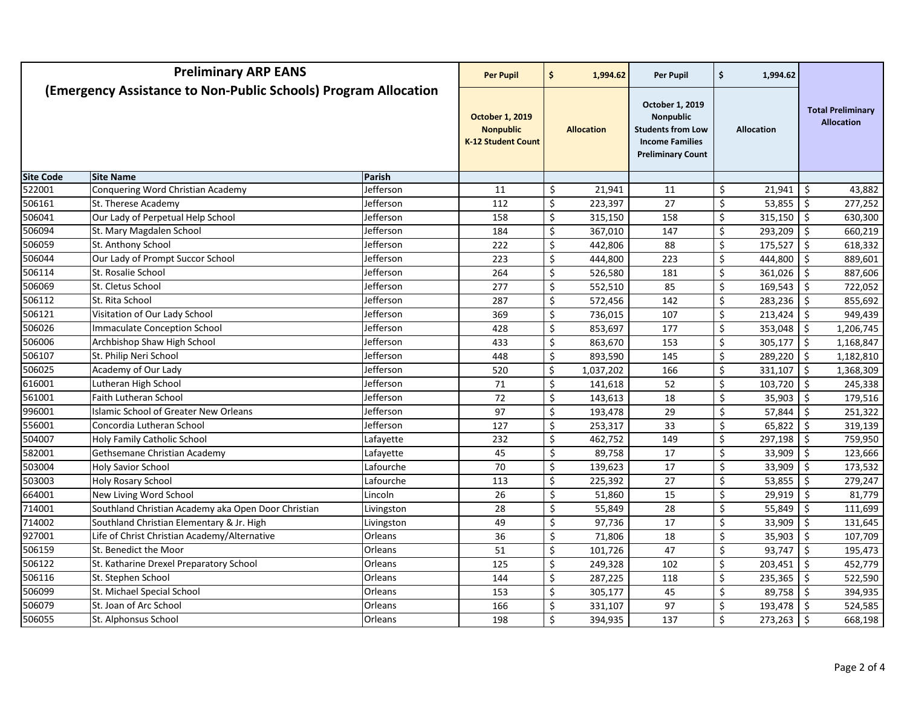| <b>Preliminary ARP EANS</b>                                     |                                                     | <b>Per Pupil</b>                                                        | \$<br>1,994.62    | Per Pupil                                                                                                             |     | \$<br>1,994.62    |                                               |    |           |
|-----------------------------------------------------------------|-----------------------------------------------------|-------------------------------------------------------------------------|-------------------|-----------------------------------------------------------------------------------------------------------------------|-----|-------------------|-----------------------------------------------|----|-----------|
| (Emergency Assistance to Non-Public Schools) Program Allocation |                                                     | <b>October 1, 2019</b><br><b>Nonpublic</b><br><b>K-12 Student Count</b> | <b>Allocation</b> | October 1, 2019<br><b>Nonpublic</b><br><b>Students from Low</b><br><b>Income Families</b><br><b>Preliminary Count</b> |     | <b>Allocation</b> | <b>Total Preliminary</b><br><b>Allocation</b> |    |           |
| <b>Site Code</b>                                                | <b>Site Name</b>                                    | Parish                                                                  |                   |                                                                                                                       |     |                   |                                               |    |           |
| 522001                                                          | Conquering Word Christian Academy                   | Jefferson                                                               | 11                | \$<br>21,941                                                                                                          | 11  | \$                | 21,941                                        | \$ | 43,882    |
| 506161                                                          | St. Therese Academy                                 | Jefferson                                                               | 112               | \$<br>223,397                                                                                                         | 27  | \$                | 53,855                                        | \$ | 277,252   |
| 506041                                                          | Our Lady of Perpetual Help School                   | Jefferson                                                               | 158               | \$<br>315,150                                                                                                         | 158 | \$                | 315,150                                       | \$ | 630,300   |
| 506094                                                          | St. Mary Magdalen School                            | Jefferson                                                               | 184               | \$<br>367,010                                                                                                         | 147 | \$                | 293,209                                       | \$ | 660,219   |
| 506059                                                          | St. Anthony School                                  | Jefferson                                                               | 222               | \$<br>442,806                                                                                                         | 88  | Ś.                | 175,527                                       | Ś  | 618,332   |
| 506044                                                          | Our Lady of Prompt Succor School                    | Jefferson                                                               | 223               | \$<br>444,800                                                                                                         | 223 | \$                | 444,800                                       | \$ | 889,601   |
| 506114                                                          | St. Rosalie School                                  | Jefferson                                                               | 264               | \$<br>526,580                                                                                                         | 181 | \$                | 361,026                                       | \$ | 887,606   |
| 506069                                                          | St. Cletus School                                   | Jefferson                                                               | 277               | \$<br>552,510                                                                                                         | 85  | \$                | 169,543                                       | Ś  | 722,052   |
| 506112                                                          | St. Rita School                                     | Jefferson                                                               | 287               | \$<br>572,456                                                                                                         | 142 | \$                | 283,236                                       | \$ | 855,692   |
| 506121                                                          | Visitation of Our Lady School                       | Jefferson                                                               | 369               | \$<br>736,015                                                                                                         | 107 | \$                | 213,424                                       | \$ | 949,439   |
| 506026                                                          | <b>Immaculate Conception School</b>                 | Jefferson                                                               | 428               | \$<br>853,697                                                                                                         | 177 | \$                | 353,048                                       | \$ | 1,206,745 |
| 506006                                                          | Archbishop Shaw High School                         | Jefferson                                                               | 433               | \$<br>863,670                                                                                                         | 153 | \$                | 305,177                                       | \$ | 1,168,847 |
| 506107                                                          | St. Philip Neri School                              | Jefferson                                                               | 448               | \$<br>893,590                                                                                                         | 145 | \$                | 289,220                                       | \$ | 1,182,810 |
| 506025                                                          | Academy of Our Lady                                 | Jefferson                                                               | 520               | \$<br>1,037,202                                                                                                       | 166 | \$                | 331,107                                       | \$ | 1,368,309 |
| 616001                                                          | Lutheran High School                                | Jefferson                                                               | 71                | \$<br>141,618                                                                                                         | 52  | \$                | 103,720                                       | \$ | 245,338   |
| 561001                                                          | Faith Lutheran School                               | Jefferson                                                               | $\overline{72}$   | \$<br>143,613                                                                                                         | 18  | \$                | 35,903                                        | \$ | 179,516   |
| 996001                                                          | <b>Islamic School of Greater New Orleans</b>        | Jefferson                                                               | 97                | \$<br>193,478                                                                                                         | 29  | \$                | 57,844                                        | \$ | 251,322   |
| 556001                                                          | Concordia Lutheran School                           | Jefferson                                                               | 127               | \$<br>253,317                                                                                                         | 33  | \$                | 65,822                                        | \$ | 319,139   |
| 504007                                                          | Holy Family Catholic School                         | Lafayette                                                               | 232               | \$<br>462,752                                                                                                         | 149 | \$                | 297,198                                       | \$ | 759,950   |
| 582001                                                          | Gethsemane Christian Academy                        | Lafayette                                                               | 45                | \$<br>89,758                                                                                                          | 17  | \$                | 33,909                                        | \$ | 123,666   |
| 503004                                                          | <b>Holy Savior School</b>                           | Lafourche                                                               | 70                | \$<br>139,623                                                                                                         | 17  | \$                | 33,909                                        | Ś. | 173,532   |
| 503003                                                          | <b>Holy Rosary School</b>                           | Lafourche                                                               | 113               | \$<br>225,392                                                                                                         | 27  | \$                | 53,855                                        | \$ | 279,247   |
| 664001                                                          | New Living Word School                              | Lincoln                                                                 | 26                | \$<br>51,860                                                                                                          | 15  | \$                | 29,919                                        | \$ | 81,779    |
| 714001                                                          | Southland Christian Academy aka Open Door Christian | Livingston                                                              | 28                | \$<br>55,849                                                                                                          | 28  | \$                | 55,849                                        | \$ | 111,699   |
| 714002                                                          | Southland Christian Elementary & Jr. High           | Livingston                                                              | 49                | \$<br>97,736                                                                                                          | 17  | \$                | 33,909                                        | \$ | 131,645   |
| 927001                                                          | Life of Christ Christian Academy/Alternative        | Orleans                                                                 | 36                | \$<br>71,806                                                                                                          | 18  | \$                | 35,903                                        | \$ | 107,709   |
| 506159                                                          | St. Benedict the Moor                               | Orleans                                                                 | 51                | \$<br>101,726                                                                                                         | 47  | \$                | 93,747                                        | Ś. | 195,473   |
| 506122                                                          | St. Katharine Drexel Preparatory School             | Orleans                                                                 | 125               | \$<br>249,328                                                                                                         | 102 | \$                | 203,451                                       | Ŝ. | 452,779   |
| 506116                                                          | St. Stephen School                                  | Orleans                                                                 | 144               | \$<br>287,225                                                                                                         | 118 | \$                | 235,365                                       | \$ | 522,590   |
| 506099                                                          | St. Michael Special School                          | Orleans                                                                 | 153               | \$<br>305,177                                                                                                         | 45  | \$                | 89,758                                        | \$ | 394,935   |
| 506079                                                          | St. Joan of Arc School                              | Orleans                                                                 | 166               | \$<br>331,107                                                                                                         | 97  | \$                | 193,478                                       | \$ | 524,585   |
| 506055                                                          | St. Alphonsus School                                | Orleans                                                                 | 198               | \$<br>394,935                                                                                                         | 137 | \$                | 273,263                                       | \$ | 668,198   |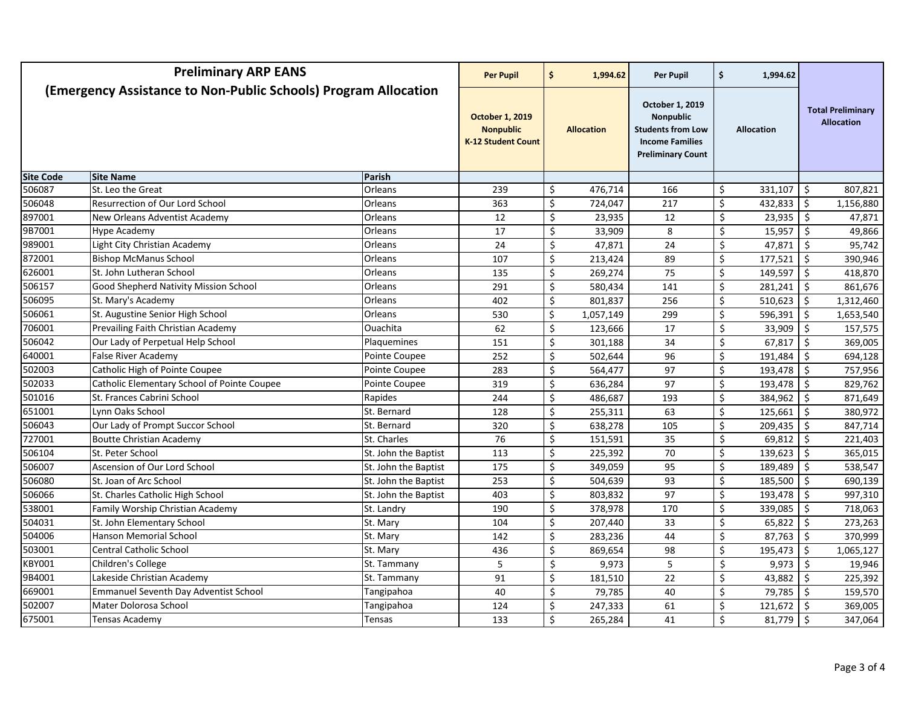| <b>Preliminary ARP EANS</b>                                     |                                              | <b>Per Pupil</b>                                                        | \$  | 1,994.62                | <b>Per Pupil</b>                                                                                                      | \$              | 1,994.62             |                                               |                     |           |
|-----------------------------------------------------------------|----------------------------------------------|-------------------------------------------------------------------------|-----|-------------------------|-----------------------------------------------------------------------------------------------------------------------|-----------------|----------------------|-----------------------------------------------|---------------------|-----------|
| (Emergency Assistance to Non-Public Schools) Program Allocation |                                              | <b>October 1, 2019</b><br><b>Nonpublic</b><br><b>K-12 Student Count</b> |     | <b>Allocation</b>       | October 1, 2019<br><b>Nonpublic</b><br><b>Students from Low</b><br><b>Income Families</b><br><b>Preliminary Count</b> |                 | <b>Allocation</b>    | <b>Total Preliminary</b><br><b>Allocation</b> |                     |           |
| <b>Site Code</b>                                                | <b>Site Name</b>                             | Parish                                                                  |     |                         |                                                                                                                       |                 |                      |                                               |                     |           |
| 506087                                                          | St. Leo the Great                            | Orleans                                                                 | 239 | \$                      | 476,714                                                                                                               | 166             | \$                   | 331,107                                       | - \$                | 807,821   |
| 506048                                                          | Resurrection of Our Lord School              | Orleans                                                                 | 363 | \$                      | 724,047                                                                                                               | 217             | $\zeta$              | 432,833                                       | Ŝ.                  | 1,156,880 |
| 897001                                                          | New Orleans Adventist Academy                | Orleans                                                                 | 12  | \$                      | 23,935                                                                                                                | 12              | \$                   | 23,935                                        | \$                  | 47,871    |
| 9B7001                                                          | Hype Academy                                 | Orleans                                                                 | 17  | \$                      | 33,909                                                                                                                | 8               | \$                   | 15,957                                        | $\ddot{\mathsf{S}}$ | 49,866    |
| 989001                                                          | Light City Christian Academy                 | Orleans                                                                 | 24  | \$                      | 47,871                                                                                                                | 24              | \$                   | 47,871                                        | Ŝ.                  | 95,742    |
| 872001                                                          | <b>Bishop McManus School</b>                 | Orleans                                                                 | 107 | \$                      | 213,424                                                                                                               | 89              | \$                   | 177,521                                       | \$                  | 390,946   |
| 626001                                                          | St. John Lutheran School                     | Orleans                                                                 | 135 | \$                      | 269,274                                                                                                               | 75              | $\zeta$              | 149,597                                       | \$                  | 418,870   |
| 506157                                                          | Good Shepherd Nativity Mission School        | Orleans                                                                 | 291 | \$                      | 580,434                                                                                                               | 141             | \$                   | 281,241                                       | \$                  | 861,676   |
| 506095                                                          | St. Mary's Academy                           | Orleans                                                                 | 402 | \$                      | 801,837                                                                                                               | 256             | \$                   | 510,623                                       | Ŝ.                  | 1,312,460 |
| 506061                                                          | St. Augustine Senior High School             | <b>Orleans</b>                                                          | 530 | \$                      | 1,057,149                                                                                                             | 299             | \$                   | 596,391                                       | Ŝ.                  | 1,653,540 |
| 706001                                                          | Prevailing Faith Christian Academy           | Ouachita                                                                | 62  | \$                      | 123,666                                                                                                               | 17              | \$                   | 33,909                                        | \$                  | 157,575   |
| 506042                                                          | Our Lady of Perpetual Help School            | Plaquemines                                                             | 151 | \$                      | 301,188                                                                                                               | 34              | \$                   | 67,817                                        | \$                  | 369,005   |
| 640001                                                          | False River Academy                          | Pointe Coupee                                                           | 252 | \$                      | 502,644                                                                                                               | 96              | $\zeta$              | 191,484                                       | \$                  | 694,128   |
| 502003                                                          | Catholic High of Pointe Coupee               | Pointe Coupee                                                           | 283 | \$                      | 564,477                                                                                                               | 97              | \$                   | 193,478                                       | \$                  | 757,956   |
| 502033                                                          | Catholic Elementary School of Pointe Coupee  | Pointe Coupee                                                           | 319 | \$                      | 636,284                                                                                                               | 97              | \$                   | 193,478                                       | Ŝ.                  | 829,762   |
| 501016                                                          | St. Frances Cabrini School                   | Rapides                                                                 | 244 | Ś.                      | 486,687                                                                                                               | 193             | $\zeta$              | 384,962                                       | Ŝ.                  | 871,649   |
| 651001                                                          | Lynn Oaks School                             | St. Bernard                                                             | 128 | \$                      | 255,311                                                                                                               | 63              | \$                   | 125,661                                       | \$                  | 380,972   |
| 506043                                                          | Our Lady of Prompt Succor School             | St. Bernard                                                             | 320 | \$                      | 638,278                                                                                                               | 105             | \$                   | 209,435                                       | \$                  | 847,714   |
| 727001                                                          | <b>Boutte Christian Academy</b>              | St. Charles                                                             | 76  | \$                      | 151,591                                                                                                               | 35              | \$                   | 69,812                                        | S.                  | 221,403   |
| 506104                                                          | St. Peter School                             | St. John the Baptist                                                    | 113 | \$                      | 225,392                                                                                                               | 70              | \$                   | 139,623                                       | \$                  | 365,015   |
| 506007                                                          | Ascension of Our Lord School                 | St. John the Baptist                                                    | 175 | \$                      | 349,059                                                                                                               | 95              | \$                   | 189,489                                       | Ŝ.                  | 538,547   |
| 506080                                                          | St. Joan of Arc School                       | St. John the Baptist                                                    | 253 | \$                      | 504,639                                                                                                               | 93              | $\zeta$              | 185,500                                       | Ŝ.                  | 690,139   |
| 506066                                                          | St. Charles Catholic High School             | St. John the Baptist                                                    | 403 | \$                      | 803,832                                                                                                               | 97              | $\boldsymbol{\zeta}$ | 193,478                                       | \$                  | 997,310   |
| 538001                                                          | Family Worship Christian Academy             | St. Landry                                                              | 190 | \$                      | 378,978                                                                                                               | 170             | $\zeta$              | 339,085                                       | \$                  | 718,063   |
| 504031                                                          | St. John Elementary School                   | St. Mary                                                                | 104 | \$                      | 207,440                                                                                                               | 33              | \$                   | 65,822                                        | Ŝ.                  | 273,263   |
| 504006                                                          | <b>Hanson Memorial School</b>                | St. Mary                                                                | 142 | $\overline{\mathsf{S}}$ | 283,236                                                                                                               | $\overline{44}$ | $\overline{\xi}$     | 87,763                                        | \$                  | 370,999   |
| 503001                                                          | <b>Central Catholic School</b>               | St. Mary                                                                | 436 | \$                      | 869,654                                                                                                               | 98              | \$                   | 195,473                                       | Ŝ.                  | 1,065,127 |
| KBY001                                                          | Children's College                           | St. Tammany                                                             | 5   | \$                      | 9,973                                                                                                                 | 5               | \$                   | 9,973                                         | \$                  | 19,946    |
| 9B4001                                                          | Lakeside Christian Academy                   | St. Tammany                                                             | 91  | \$                      | 181,510                                                                                                               | 22              | \$                   | 43,882                                        | \$                  | 225,392   |
| 669001                                                          | <b>Emmanuel Seventh Day Adventist School</b> | Tangipahoa                                                              | 40  | Ś.                      | 79,785                                                                                                                | 40              | \$                   | 79,785                                        | Ŝ.                  | 159,570   |
| 502007                                                          | Mater Dolorosa School                        | Tangipahoa                                                              | 124 | \$                      | 247,333                                                                                                               | 61              | \$                   | 121,672                                       | \$                  | 369,005   |
| 675001                                                          | Tensas Academy                               | Tensas                                                                  | 133 | \$                      | 265,284                                                                                                               | 41              | \$                   | 81,779                                        | $\ddot{\mathsf{S}}$ | 347,064   |